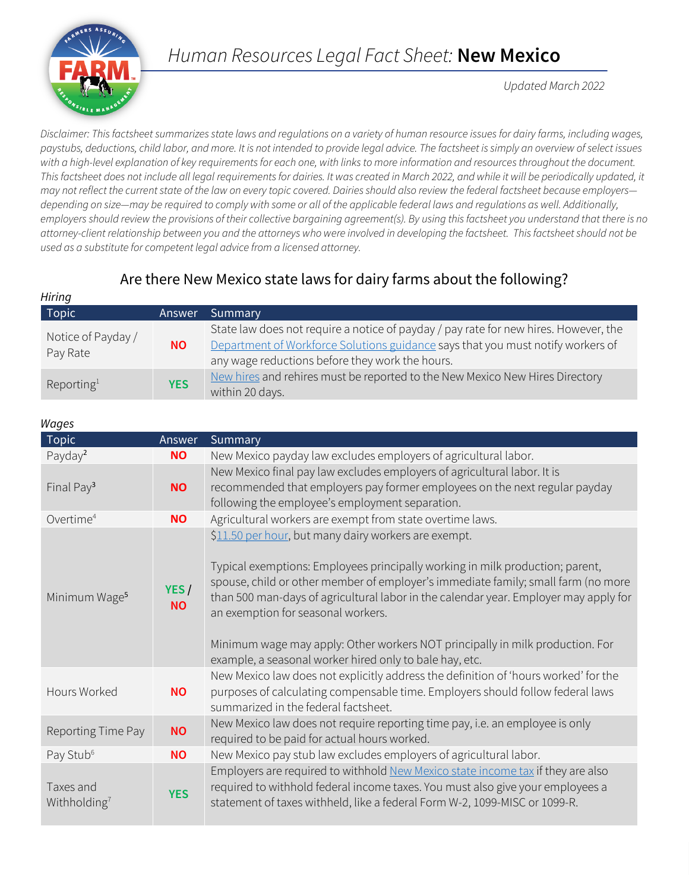# *Human Resources Legal Fact Sheet:* **New Mexico**

*Updated March 2022*

*Disclaimer: This factsheet summarizes state laws and regulations on a variety of human resource issues for dairy farms, including wages, paystubs, deductions, child labor, and more. It is not intended to provide legal advice. The factsheet is simply an overview of select issues with a high-level explanation of key requirements for each one, with links to more information and resources throughout the document.*  This factsheet does not include all legal requirements for dairies. It was created in March 2022, and while it will be periodically updated, it *may not reflect the current state of the law on every topic covered. Dairies should also review the federal factsheet because employers depending on size—may be required to comply with some or all of the applicable federal laws and regulations as well. Additionally, employers should review the provisions of their collective bargaining agreement(s). By using this factsheet you understand that there is no attorney-client relationship between you and the attorneys who were involved in developing the factsheet. This factsheet should not be used as a substitute for competent legal advice from a licensed attorney.*

# Are there New Mexico state laws for dairy farms about the following?

| ,,,,,,,,,                      |            |                                                                                                                                                                                                                            |
|--------------------------------|------------|----------------------------------------------------------------------------------------------------------------------------------------------------------------------------------------------------------------------------|
| Topic                          | Answer     | Summary                                                                                                                                                                                                                    |
| Notice of Payday /<br>Pay Rate | ΝO         | State law does not require a notice of payday / pay rate for new hires. However, the<br>Department of Workforce Solutions guidance says that you must notify workers of<br>any wage reductions before they work the hours. |
| Reporting <sup>1</sup>         | <b>YES</b> | New hires and rehires must be reported to the New Mexico New Hires Directory<br>within 20 days.                                                                                                                            |

| Wages |
|-------|
|-------|

*Hiring*

| wuyco                                 |                   |                                                                                                                                                                                                                                                                                                                                                                                                                                                                                                      |  |
|---------------------------------------|-------------------|------------------------------------------------------------------------------------------------------------------------------------------------------------------------------------------------------------------------------------------------------------------------------------------------------------------------------------------------------------------------------------------------------------------------------------------------------------------------------------------------------|--|
| <b>Topic</b>                          | Answer            | Summary                                                                                                                                                                                                                                                                                                                                                                                                                                                                                              |  |
| Payday <sup>2</sup>                   | <b>NO</b>         | New Mexico payday law excludes employers of agricultural labor.                                                                                                                                                                                                                                                                                                                                                                                                                                      |  |
| Final Pay <sup>3</sup>                | <b>NO</b>         | New Mexico final pay law excludes employers of agricultural labor. It is<br>recommended that employers pay former employees on the next regular payday<br>following the employee's employment separation.                                                                                                                                                                                                                                                                                            |  |
| Overtime <sup>4</sup>                 | <b>NO</b>         | Agricultural workers are exempt from state overtime laws.                                                                                                                                                                                                                                                                                                                                                                                                                                            |  |
| Minimum Wage <sup>5</sup>             | YES/<br><b>NO</b> | \$11.50 per hour, but many dairy workers are exempt.<br>Typical exemptions: Employees principally working in milk production; parent,<br>spouse, child or other member of employer's immediate family; small farm (no more<br>than 500 man-days of agricultural labor in the calendar year. Employer may apply for<br>an exemption for seasonal workers.<br>Minimum wage may apply: Other workers NOT principally in milk production. For<br>example, a seasonal worker hired only to bale hay, etc. |  |
| Hours Worked                          | <b>NO</b>         | New Mexico law does not explicitly address the definition of 'hours worked' for the<br>purposes of calculating compensable time. Employers should follow federal laws<br>summarized in the federal factsheet.                                                                                                                                                                                                                                                                                        |  |
| Reporting Time Pay                    | <b>NO</b>         | New Mexico law does not require reporting time pay, i.e. an employee is only<br>required to be paid for actual hours worked.                                                                                                                                                                                                                                                                                                                                                                         |  |
| Pay Stub <sup>6</sup>                 | <b>NO</b>         | New Mexico pay stub law excludes employers of agricultural labor.                                                                                                                                                                                                                                                                                                                                                                                                                                    |  |
| Taxes and<br>Withholding <sup>7</sup> | <b>YES</b>        | Employers are required to withhold New Mexico state income tax if they are also<br>required to withhold federal income taxes. You must also give your employees a<br>statement of taxes withheld, like a federal Form W-2, 1099-MISC or 1099-R.                                                                                                                                                                                                                                                      |  |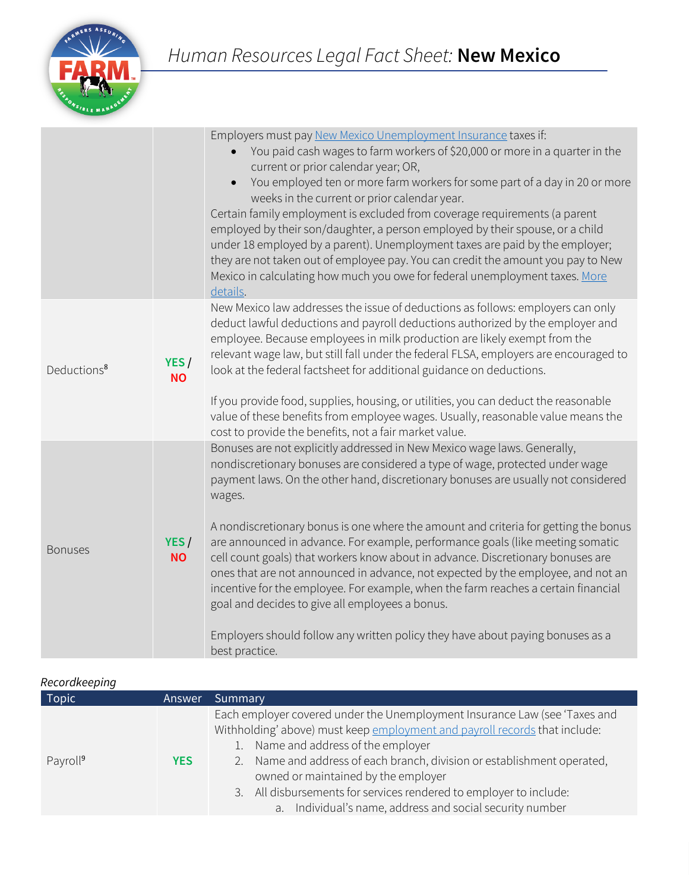

|                         |                   | Employers must pay New Mexico Unemployment Insurance taxes if:<br>You paid cash wages to farm workers of \$20,000 or more in a quarter in the<br>current or prior calendar year; OR,<br>You employed ten or more farm workers for some part of a day in 20 or more<br>weeks in the current or prior calendar year.<br>Certain family employment is excluded from coverage requirements (a parent<br>employed by their son/daughter, a person employed by their spouse, or a child<br>under 18 employed by a parent). Unemployment taxes are paid by the employer;<br>they are not taken out of employee pay. You can credit the amount you pay to New<br>Mexico in calculating how much you owe for federal unemployment taxes. More<br>details. |
|-------------------------|-------------------|--------------------------------------------------------------------------------------------------------------------------------------------------------------------------------------------------------------------------------------------------------------------------------------------------------------------------------------------------------------------------------------------------------------------------------------------------------------------------------------------------------------------------------------------------------------------------------------------------------------------------------------------------------------------------------------------------------------------------------------------------|
| Deductions <sup>8</sup> | YES/<br><b>NO</b> | New Mexico law addresses the issue of deductions as follows: employers can only<br>deduct lawful deductions and payroll deductions authorized by the employer and<br>employee. Because employees in milk production are likely exempt from the<br>relevant wage law, but still fall under the federal FLSA, employers are encouraged to<br>look at the federal factsheet for additional guidance on deductions.                                                                                                                                                                                                                                                                                                                                  |
|                         |                   | If you provide food, supplies, housing, or utilities, you can deduct the reasonable<br>value of these benefits from employee wages. Usually, reasonable value means the<br>cost to provide the benefits, not a fair market value.                                                                                                                                                                                                                                                                                                                                                                                                                                                                                                                |
|                         |                   | Bonuses are not explicitly addressed in New Mexico wage laws. Generally,<br>nondiscretionary bonuses are considered a type of wage, protected under wage<br>payment laws. On the other hand, discretionary bonuses are usually not considered<br>wages.                                                                                                                                                                                                                                                                                                                                                                                                                                                                                          |
| <b>Bonuses</b>          | YES/<br><b>NO</b> | A nondiscretionary bonus is one where the amount and criteria for getting the bonus<br>are announced in advance. For example, performance goals (like meeting somatic<br>cell count goals) that workers know about in advance. Discretionary bonuses are<br>ones that are not announced in advance, not expected by the employee, and not an<br>incentive for the employee. For example, when the farm reaches a certain financial<br>goal and decides to give all employees a bonus.                                                                                                                                                                                                                                                            |
|                         |                   | Employers should follow any written policy they have about paying bonuses as a<br>best practice.                                                                                                                                                                                                                                                                                                                                                                                                                                                                                                                                                                                                                                                 |

#### *Recordkeeping*

| Topic                | <b>Answer</b> | Summary                                                                                                                                                                                                                                                                                                                                                                                                                                                |  |
|----------------------|---------------|--------------------------------------------------------------------------------------------------------------------------------------------------------------------------------------------------------------------------------------------------------------------------------------------------------------------------------------------------------------------------------------------------------------------------------------------------------|--|
| Payroll <sup>9</sup> | <b>YES</b>    | Each employer covered under the Unemployment Insurance Law (see 'Taxes and<br>Withholding' above) must keep employment and payroll records that include:<br>1. Name and address of the employer<br>Name and address of each branch, division or establishment operated,<br>2.<br>owned or maintained by the employer<br>3. All disbursements for services rendered to employer to include:<br>a. Individual's name, address and social security number |  |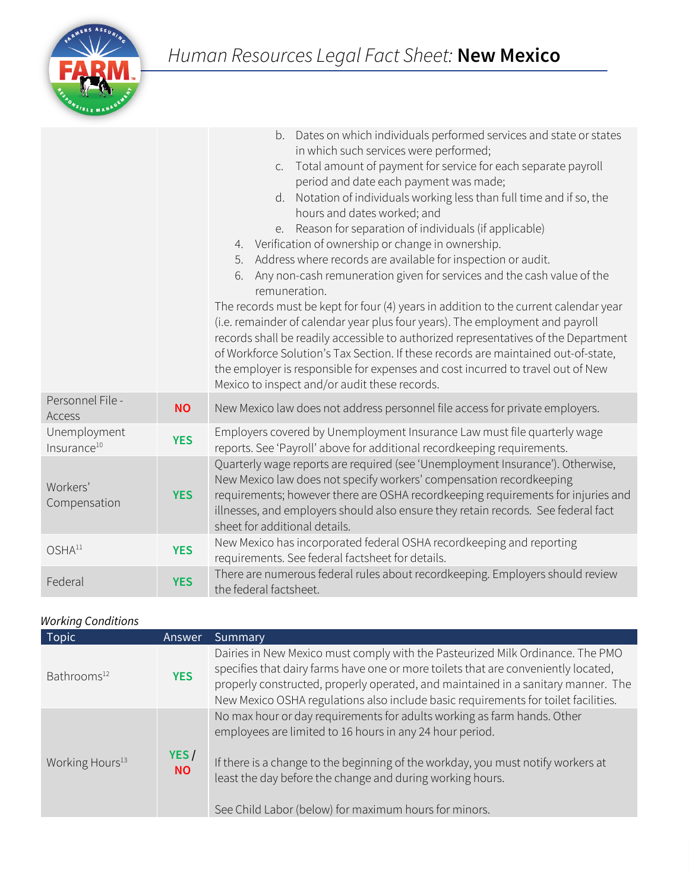

|                                         |            | Dates on which individuals performed services and state or states<br>b.<br>in which such services were performed;<br>Total amount of payment for service for each separate payroll<br>$C_{1}$<br>period and date each payment was made;<br>d. Notation of individuals working less than full time and if so, the<br>hours and dates worked; and<br>e. Reason for separation of individuals (if applicable)<br>4. Verification of ownership or change in ownership.<br>Address where records are available for inspection or audit.<br>5.<br>Any non-cash remuneration given for services and the cash value of the<br>6.<br>remuneration.<br>The records must be kept for four (4) years in addition to the current calendar year<br>(i.e. remainder of calendar year plus four years). The employment and payroll<br>records shall be readily accessible to authorized representatives of the Department<br>of Workforce Solution's Tax Section. If these records are maintained out-of-state,<br>the employer is responsible for expenses and cost incurred to travel out of New<br>Mexico to inspect and/or audit these records. |
|-----------------------------------------|------------|-------------------------------------------------------------------------------------------------------------------------------------------------------------------------------------------------------------------------------------------------------------------------------------------------------------------------------------------------------------------------------------------------------------------------------------------------------------------------------------------------------------------------------------------------------------------------------------------------------------------------------------------------------------------------------------------------------------------------------------------------------------------------------------------------------------------------------------------------------------------------------------------------------------------------------------------------------------------------------------------------------------------------------------------------------------------------------------------------------------------------------------|
| Personnel File -<br>Access              | <b>NO</b>  | New Mexico law does not address personnel file access for private employers.                                                                                                                                                                                                                                                                                                                                                                                                                                                                                                                                                                                                                                                                                                                                                                                                                                                                                                                                                                                                                                                        |
| Unemployment<br>Insurance <sup>10</sup> | <b>YES</b> | Employers covered by Unemployment Insurance Law must file quarterly wage<br>reports. See 'Payroll' above for additional recordkeeping requirements.                                                                                                                                                                                                                                                                                                                                                                                                                                                                                                                                                                                                                                                                                                                                                                                                                                                                                                                                                                                 |
| Workers'<br>Compensation                | <b>YES</b> | Quarterly wage reports are required (see 'Unemployment Insurance'). Otherwise,<br>New Mexico law does not specify workers' compensation recordkeeping<br>requirements; however there are OSHA recordkeeping requirements for injuries and<br>illnesses, and employers should also ensure they retain records. See federal fact<br>sheet for additional details.                                                                                                                                                                                                                                                                                                                                                                                                                                                                                                                                                                                                                                                                                                                                                                     |
| OSHA <sup>11</sup>                      | <b>YES</b> | New Mexico has incorporated federal OSHA recordkeeping and reporting<br>requirements. See federal factsheet for details.                                                                                                                                                                                                                                                                                                                                                                                                                                                                                                                                                                                                                                                                                                                                                                                                                                                                                                                                                                                                            |
| Federal                                 | <b>YES</b> | There are numerous federal rules about recordkeeping. Employers should review<br>the federal factsheet.                                                                                                                                                                                                                                                                                                                                                                                                                                                                                                                                                                                                                                                                                                                                                                                                                                                                                                                                                                                                                             |

### *Working Conditions*

| <b>Topic</b>                | <b>Answer</b>     | Summary                                                                                                                                                                                                                                                                                                                                         |
|-----------------------------|-------------------|-------------------------------------------------------------------------------------------------------------------------------------------------------------------------------------------------------------------------------------------------------------------------------------------------------------------------------------------------|
| Bathrooms <sup>12</sup>     | <b>YES</b>        | Dairies in New Mexico must comply with the Pasteurized Milk Ordinance. The PMO<br>specifies that dairy farms have one or more toilets that are conveniently located,<br>properly constructed, properly operated, and maintained in a sanitary manner. The<br>New Mexico OSHA regulations also include basic requirements for toilet facilities. |
| Working Hours <sup>13</sup> | YES/<br><b>NO</b> | No max hour or day requirements for adults working as farm hands. Other<br>employees are limited to 16 hours in any 24 hour period.<br>If there is a change to the beginning of the workday, you must notify workers at<br>least the day before the change and during working hours.                                                            |
|                             |                   | See Child Labor (below) for maximum hours for minors.                                                                                                                                                                                                                                                                                           |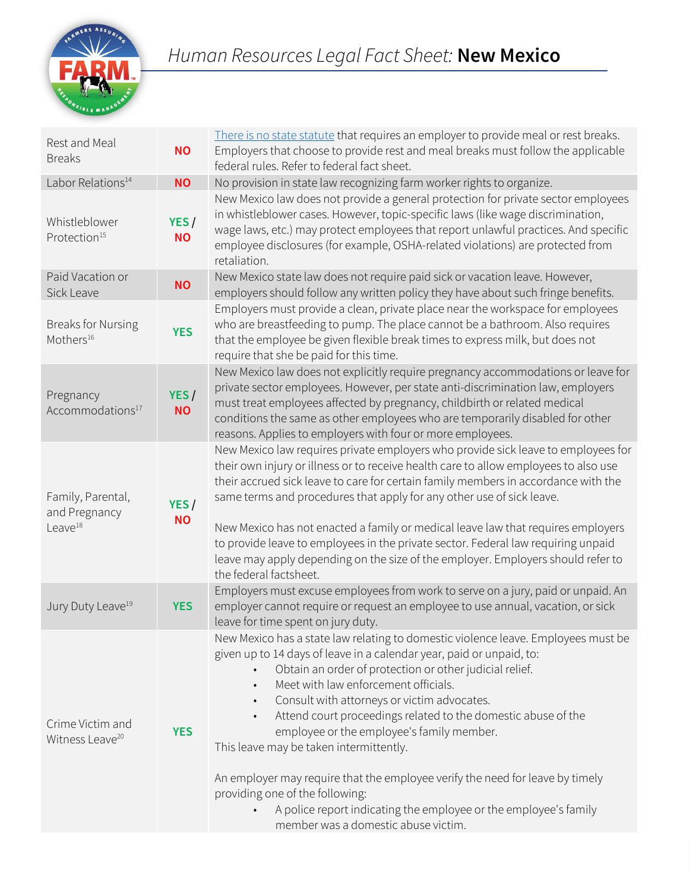

| Rest and Meal<br><b>Breaks</b>                            | <b>NO</b>          | There is no state statute that requires an employer to provide meal or rest breaks.<br>Employers that choose to provide rest and meal breaks must follow the applicable<br>federal rules. Refer to federal fact sheet.                                                                                                                                                                                                                                                                                                                                                                                                                                                                                                        |
|-----------------------------------------------------------|--------------------|-------------------------------------------------------------------------------------------------------------------------------------------------------------------------------------------------------------------------------------------------------------------------------------------------------------------------------------------------------------------------------------------------------------------------------------------------------------------------------------------------------------------------------------------------------------------------------------------------------------------------------------------------------------------------------------------------------------------------------|
| Labor Relations <sup>14</sup>                             | <b>NO</b>          | No provision in state law recognizing farm worker rights to organize.                                                                                                                                                                                                                                                                                                                                                                                                                                                                                                                                                                                                                                                         |
| Whistleblower<br>Protection <sup>15</sup>                 | YES /<br><b>NO</b> | New Mexico law does not provide a general protection for private sector employees<br>in whistleblower cases. However, topic-specific laws (like wage discrimination,<br>wage laws, etc.) may protect employees that report unlawful practices. And specific<br>employee disclosures (for example, OSHA-related violations) are protected from<br>retaliation.                                                                                                                                                                                                                                                                                                                                                                 |
| Paid Vacation or<br>Sick Leave                            | <b>NO</b>          | New Mexico state law does not require paid sick or vacation leave. However,<br>employers should follow any written policy they have about such fringe benefits.                                                                                                                                                                                                                                                                                                                                                                                                                                                                                                                                                               |
| <b>Breaks for Nursing</b><br>Mothers <sup>16</sup>        | <b>YES</b>         | Employers must provide a clean, private place near the workspace for employees<br>who are breastfeeding to pump. The place cannot be a bathroom. Also requires<br>that the employee be given flexible break times to express milk, but does not<br>require that she be paid for this time.                                                                                                                                                                                                                                                                                                                                                                                                                                    |
| Pregnancy<br>Accommodations <sup>17</sup>                 | YES/<br><b>NO</b>  | New Mexico law does not explicitly require pregnancy accommodations or leave for<br>private sector employees. However, per state anti-discrimination law, employers<br>must treat employees affected by pregnancy, childbirth or related medical<br>conditions the same as other employees who are temporarily disabled for other<br>reasons. Applies to employers with four or more employees.                                                                                                                                                                                                                                                                                                                               |
| Family, Parental,<br>and Pregnancy<br>Leave <sup>18</sup> | YES/<br><b>NO</b>  | New Mexico law requires private employers who provide sick leave to employees for<br>their own injury or illness or to receive health care to allow employees to also use<br>their accrued sick leave to care for certain family members in accordance with the<br>same terms and procedures that apply for any other use of sick leave.<br>New Mexico has not enacted a family or medical leave law that requires employers<br>to provide leave to employees in the private sector. Federal law requiring unpaid<br>leave may apply depending on the size of the employer. Employers should refer to<br>the federal factsheet.                                                                                               |
| Jury Duty Leave <sup>19</sup>                             | <b>YES</b>         | Employers must excuse employees from work to serve on a jury, paid or unpaid. An<br>employer cannot require or request an employee to use annual, vacation, or sick<br>leave for time spent on jury duty.                                                                                                                                                                                                                                                                                                                                                                                                                                                                                                                     |
| Crime Victim and<br>Witness Leave <sup>20</sup>           | <b>YES</b>         | New Mexico has a state law relating to domestic violence leave. Employees must be<br>given up to 14 days of leave in a calendar year, paid or unpaid, to:<br>Obtain an order of protection or other judicial relief.<br>Meet with law enforcement officials.<br>Consult with attorneys or victim advocates.<br>$\bullet$<br>Attend court proceedings related to the domestic abuse of the<br>$\bullet$<br>employee or the employee's family member.<br>This leave may be taken intermittently.<br>An employer may require that the employee verify the need for leave by timely<br>providing one of the following:<br>A police report indicating the employee or the employee's family<br>member was a domestic abuse victim. |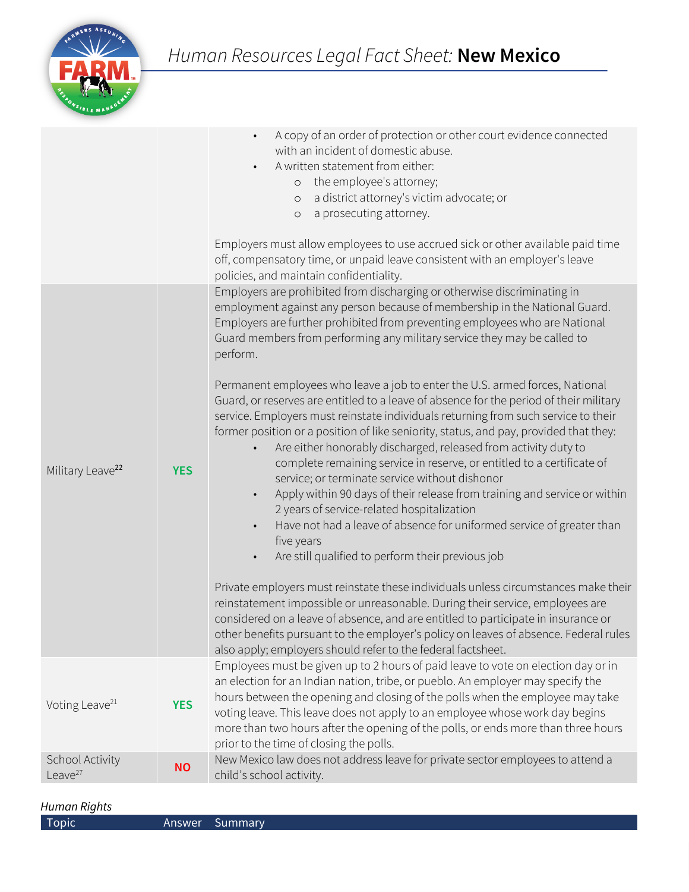

|                               |            | A copy of an order of protection or other court evidence connected<br>with an incident of domestic abuse.<br>A written statement from either:<br>o the employee's attorney;<br>a district attorney's victim advocate; or<br>$\circ$<br>a prosecuting attorney.<br>$\circ$<br>Employers must allow employees to use accrued sick or other available paid time<br>off, compensatory time, or unpaid leave consistent with an employer's leave<br>policies, and maintain confidentiality.                                                                                                                                                                                                                                                                                                                                      |
|-------------------------------|------------|-----------------------------------------------------------------------------------------------------------------------------------------------------------------------------------------------------------------------------------------------------------------------------------------------------------------------------------------------------------------------------------------------------------------------------------------------------------------------------------------------------------------------------------------------------------------------------------------------------------------------------------------------------------------------------------------------------------------------------------------------------------------------------------------------------------------------------|
|                               |            | Employers are prohibited from discharging or otherwise discriminating in<br>employment against any person because of membership in the National Guard.<br>Employers are further prohibited from preventing employees who are National<br>Guard members from performing any military service they may be called to<br>perform.                                                                                                                                                                                                                                                                                                                                                                                                                                                                                               |
| Military Leave <sup>22</sup>  | <b>YES</b> | Permanent employees who leave a job to enter the U.S. armed forces, National<br>Guard, or reserves are entitled to a leave of absence for the period of their military<br>service. Employers must reinstate individuals returning from such service to their<br>former position or a position of like seniority, status, and pay, provided that they:<br>Are either honorably discharged, released from activity duty to<br>complete remaining service in reserve, or entitled to a certificate of<br>service; or terminate service without dishonor<br>Apply within 90 days of their release from training and service or within<br>2 years of service-related hospitalization<br>Have not had a leave of absence for uniformed service of greater than<br>five years<br>Are still qualified to perform their previous job |
|                               |            | Private employers must reinstate these individuals unless circumstances make their<br>reinstatement impossible or unreasonable. During their service, employees are<br>considered on a leave of absence, and are entitled to participate in insurance or<br>other benefits pursuant to the employer's policy on leaves of absence. Federal rules<br>also apply; employers should refer to the federal factsheet.                                                                                                                                                                                                                                                                                                                                                                                                            |
| Voting Leave <sup>21</sup>    | <b>YES</b> | Employees must be given up to 2 hours of paid leave to vote on election day or in<br>an election for an Indian nation, tribe, or pueblo. An employer may specify the<br>hours between the opening and closing of the polls when the employee may take<br>voting leave. This leave does not apply to an employee whose work day begins<br>more than two hours after the opening of the polls, or ends more than three hours<br>prior to the time of closing the polls.                                                                                                                                                                                                                                                                                                                                                       |
| School Activity<br>Leave $27$ | <b>NO</b>  | New Mexico law does not address leave for private sector employees to attend a<br>child's school activity.                                                                                                                                                                                                                                                                                                                                                                                                                                                                                                                                                                                                                                                                                                                  |

## *Human Rights*

| <b>Topic</b> |  |
|--------------|--|
|              |  |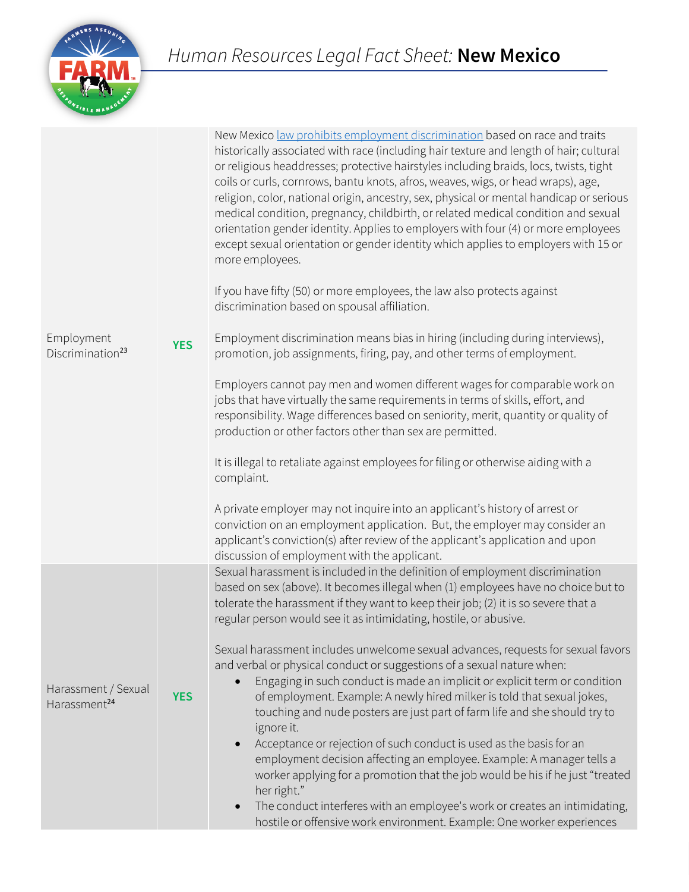# *Human Resources Legal Fact Sheet:* **New Mexico**



| Employment<br>Discrimination <sup>23</sup>      | <b>YES</b> | New Mexico <u>law prohibits employment discrimination</u> based on race and traits<br>historically associated with race (including hair texture and length of hair; cultural<br>or religious headdresses; protective hairstyles including braids, locs, twists, tight<br>coils or curls, cornrows, bantu knots, afros, weaves, wigs, or head wraps), age,<br>religion, color, national origin, ancestry, sex, physical or mental handicap or serious<br>medical condition, pregnancy, childbirth, or related medical condition and sexual<br>orientation gender identity. Applies to employers with four (4) or more employees<br>except sexual orientation or gender identity which applies to employers with 15 or<br>more employees.<br>If you have fifty (50) or more employees, the law also protects against<br>discrimination based on spousal affiliation.<br>Employment discrimination means bias in hiring (including during interviews),<br>promotion, job assignments, firing, pay, and other terms of employment.<br>Employers cannot pay men and women different wages for comparable work on<br>jobs that have virtually the same requirements in terms of skills, effort, and<br>responsibility. Wage differences based on seniority, merit, quantity or quality of<br>production or other factors other than sex are permitted.<br>It is illegal to retaliate against employees for filing or otherwise aiding with a<br>complaint.<br>A private employer may not inquire into an applicant's history of arrest or<br>conviction on an employment application. But, the employer may consider an<br>applicant's conviction(s) after review of the applicant's application and upon<br>discussion of employment with the applicant. |  |
|-------------------------------------------------|------------|-----------------------------------------------------------------------------------------------------------------------------------------------------------------------------------------------------------------------------------------------------------------------------------------------------------------------------------------------------------------------------------------------------------------------------------------------------------------------------------------------------------------------------------------------------------------------------------------------------------------------------------------------------------------------------------------------------------------------------------------------------------------------------------------------------------------------------------------------------------------------------------------------------------------------------------------------------------------------------------------------------------------------------------------------------------------------------------------------------------------------------------------------------------------------------------------------------------------------------------------------------------------------------------------------------------------------------------------------------------------------------------------------------------------------------------------------------------------------------------------------------------------------------------------------------------------------------------------------------------------------------------------------------------------------------------------------------------------------------------------------------|--|
| Harassment / Sexual<br>Harassment <sup>24</sup> | <b>YES</b> | Sexual harassment is included in the definition of employment discrimination<br>based on sex (above). It becomes illegal when (1) employees have no choice but to<br>tolerate the harassment if they want to keep their job; (2) it is so severe that a<br>regular person would see it as intimidating, hostile, or abusive.<br>Sexual harassment includes unwelcome sexual advances, requests for sexual favors<br>and verbal or physical conduct or suggestions of a sexual nature when:<br>Engaging in such conduct is made an implicit or explicit term or condition<br>of employment. Example: A newly hired milker is told that sexual jokes,<br>touching and nude posters are just part of farm life and she should try to<br>ignore it.<br>Acceptance or rejection of such conduct is used as the basis for an<br>$\bullet$<br>employment decision affecting an employee. Example: A manager tells a<br>worker applying for a promotion that the job would be his if he just "treated<br>her right."<br>The conduct interferes with an employee's work or creates an intimidating,<br>hostile or offensive work environment. Example: One worker experiences                                                                                                                                                                                                                                                                                                                                                                                                                                                                                                                                                                                |  |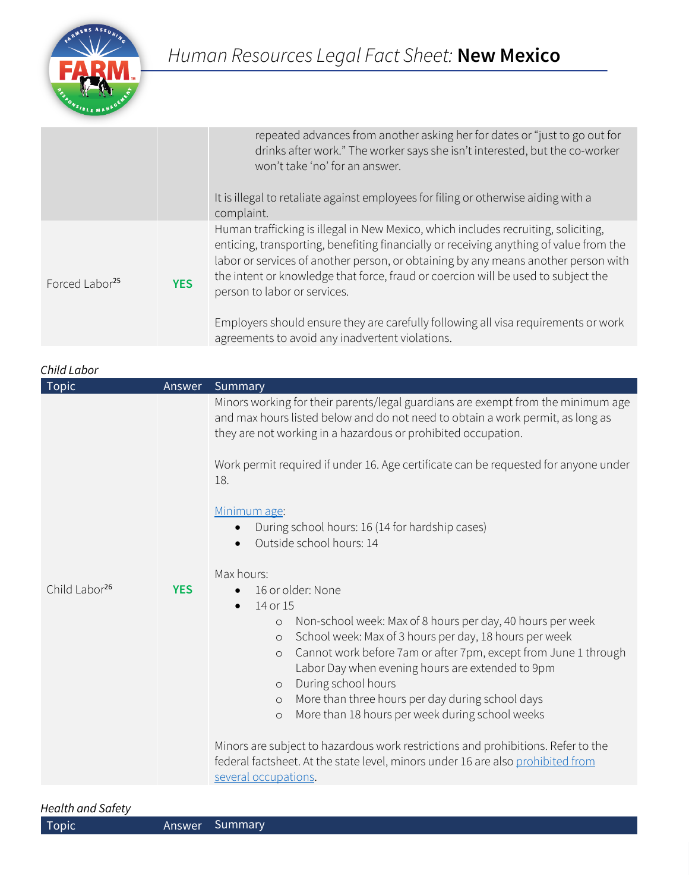

|                            |            | repeated advances from another asking her for dates or "just to go out for<br>drinks after work." The worker says she isn't interested, but the co-worker<br>won't take 'no' for an answer.<br>It is illegal to retaliate against employees for filing or otherwise aiding with a<br>complaint.                                                                                         |
|----------------------------|------------|-----------------------------------------------------------------------------------------------------------------------------------------------------------------------------------------------------------------------------------------------------------------------------------------------------------------------------------------------------------------------------------------|
| Forced Labor <sup>25</sup> | <b>YES</b> | Human trafficking is illegal in New Mexico, which includes recruiting, soliciting,<br>enticing, transporting, benefiting financially or receiving anything of value from the<br>labor or services of another person, or obtaining by any means another person with<br>the intent or knowledge that force, fraud or coercion will be used to subject the<br>person to labor or services. |
|                            |            | Employers should ensure they are carefully following all visa requirements or work<br>agreements to avoid any inadvertent violations.                                                                                                                                                                                                                                                   |

| Child Labor               |            |                                                                                                                                                                                                                                                                                                                                   |  |
|---------------------------|------------|-----------------------------------------------------------------------------------------------------------------------------------------------------------------------------------------------------------------------------------------------------------------------------------------------------------------------------------|--|
| <b>Topic</b>              | Answer     | Summary                                                                                                                                                                                                                                                                                                                           |  |
|                           |            | Minors working for their parents/legal guardians are exempt from the minimum age<br>and max hours listed below and do not need to obtain a work permit, as long as<br>they are not working in a hazardous or prohibited occupation.<br>Work permit required if under 16. Age certificate can be requested for anyone under<br>18. |  |
|                           |            |                                                                                                                                                                                                                                                                                                                                   |  |
|                           |            | Minimum age:                                                                                                                                                                                                                                                                                                                      |  |
|                           |            | During school hours: 16 (14 for hardship cases)                                                                                                                                                                                                                                                                                   |  |
|                           |            | Outside school hours: 14                                                                                                                                                                                                                                                                                                          |  |
|                           |            | Max hours:                                                                                                                                                                                                                                                                                                                        |  |
| Child Labor <sup>26</sup> | <b>YES</b> | 16 or older: None<br>$\bullet$                                                                                                                                                                                                                                                                                                    |  |
|                           |            | 14 or 15                                                                                                                                                                                                                                                                                                                          |  |
|                           |            | Non-school week: Max of 8 hours per day, 40 hours per week<br>$\circ$                                                                                                                                                                                                                                                             |  |
|                           |            | School week: Max of 3 hours per day, 18 hours per week<br>$\circ$                                                                                                                                                                                                                                                                 |  |
|                           |            | Cannot work before 7am or after 7pm, except from June 1 through<br>$\circ$                                                                                                                                                                                                                                                        |  |
|                           |            | Labor Day when evening hours are extended to 9pm                                                                                                                                                                                                                                                                                  |  |
|                           |            | During school hours<br>$\circ$                                                                                                                                                                                                                                                                                                    |  |
|                           |            | More than three hours per day during school days<br>$\circ$                                                                                                                                                                                                                                                                       |  |
|                           |            | More than 18 hours per week during school weeks<br>$\circ$                                                                                                                                                                                                                                                                        |  |
|                           |            | Minors are subject to hazardous work restrictions and prohibitions. Refer to the<br>federal factsheet. At the state level, minors under 16 are also prohibited from<br>several occupations.                                                                                                                                       |  |
|                           |            |                                                                                                                                                                                                                                                                                                                                   |  |

### *Health and Safety*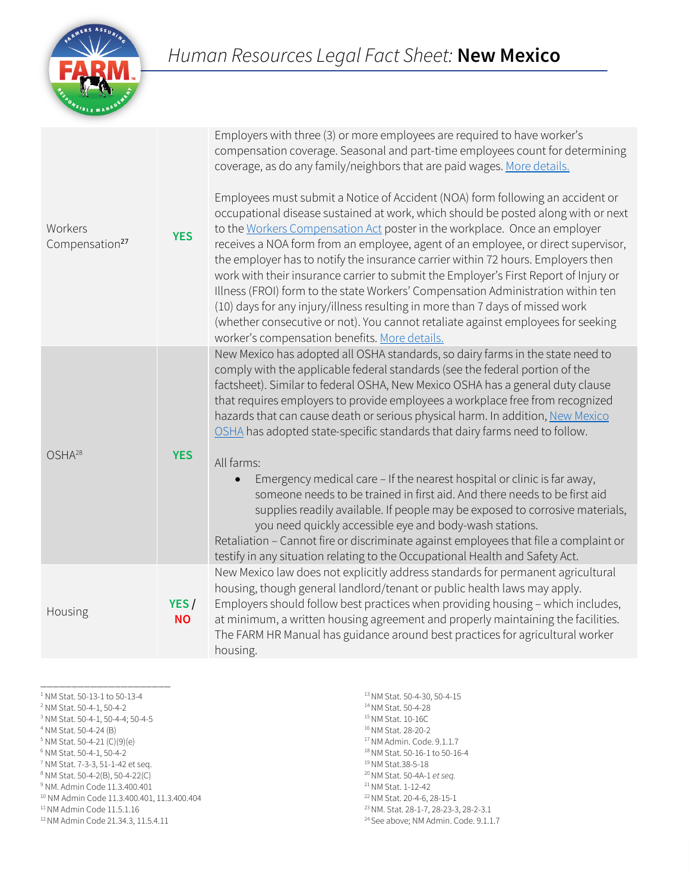

Employers with three (3) or more employees are required to have worker's

| Workers<br>Compensation <sup>27</sup> | <b>YES</b>         | compensation coverage. Seasonal and part-time employees count for determining<br>coverage, as do any family/neighbors that are paid wages. More details.<br>Employees must submit a Notice of Accident (NOA) form following an accident or<br>occupational disease sustained at work, which should be posted along with or next<br>to the Workers Compensation Act poster in the workplace. Once an employer<br>receives a NOA form from an employee, agent of an employee, or direct supervisor,<br>the employer has to notify the insurance carrier within 72 hours. Employers then<br>work with their insurance carrier to submit the Employer's First Report of Injury or<br>Illness (FROI) form to the state Workers' Compensation Administration within ten<br>(10) days for any injury/illness resulting in more than 7 days of missed work<br>(whether consecutive or not). You cannot retaliate against employees for seeking<br>worker's compensation benefits. More details.    |
|---------------------------------------|--------------------|--------------------------------------------------------------------------------------------------------------------------------------------------------------------------------------------------------------------------------------------------------------------------------------------------------------------------------------------------------------------------------------------------------------------------------------------------------------------------------------------------------------------------------------------------------------------------------------------------------------------------------------------------------------------------------------------------------------------------------------------------------------------------------------------------------------------------------------------------------------------------------------------------------------------------------------------------------------------------------------------|
| OSHA <sup>28</sup>                    | <b>YES</b>         | New Mexico has adopted all OSHA standards, so dairy farms in the state need to<br>comply with the applicable federal standards (see the federal portion of the<br>factsheet). Similar to federal OSHA, New Mexico OSHA has a general duty clause<br>that requires employers to provide employees a workplace free from recognized<br>hazards that can cause death or serious physical harm. In addition, New Mexico<br>OSHA has adopted state-specific standards that dairy farms need to follow.<br>All farms:<br>Emergency medical care - If the nearest hospital or clinic is far away,<br>someone needs to be trained in first aid. And there needs to be first aid<br>supplies readily available. If people may be exposed to corrosive materials,<br>you need quickly accessible eye and body-wash stations.<br>Retaliation - Cannot fire or discriminate against employees that file a complaint or<br>testify in any situation relating to the Occupational Health and Safety Act. |
| Housing                               | YES /<br><b>NO</b> | New Mexico law does not explicitly address standards for permanent agricultural<br>housing, though general landlord/tenant or public health laws may apply.<br>Employers should follow best practices when providing housing - which includes,<br>at minimum, a written housing agreement and properly maintaining the facilities.<br>The FARM HR Manual has guidance around best practices for agricultural worker<br>housing.                                                                                                                                                                                                                                                                                                                                                                                                                                                                                                                                                            |

\_\_\_\_\_\_\_\_\_\_\_\_\_\_\_\_\_\_\_\_\_

<sup>1</sup> NM Stat. 50-13-1 to 50-13-4 2 NM Stat. 50-4-1, 50-4-2 3 NM Stat. 50-4-1, 50-4-4; 50-4-5 4 NM Stat. 50-4-24 (B)

<sup>5</sup> NM Stat. 50-4-21 (C)(9)(e)<br><sup>6</sup> NM Stat. 50-4-1, 50-4-2

<sup>7</sup> NM Stat. 7-3-3, 51-1-42 et seq.

<sup>8</sup> NM Stat. 50-4-2(B), 50-4-22(C)

<sup>9</sup> NM. Admin Code 11.3.400.401

<sup>10</sup> NM Admin Code 11.3.400.401, 11.3.400.404

11 NM Admin Code 11.5.1.16

12 NM Admin Code 21.34.3, 11.5.4.11

13 NM Stat. 50-4-30, 50-4-15 14 NM Stat. 50-4-28 <sup>15</sup> NM Stat. 10-16C<br><sup>16</sup> NM Stat. 28-20-2  $17$  NM Admin. Code. 9.1.1.7 18 NM Stat. 50-16-1 to 50-16-4 19 NM Stat.38-5-18 20 NM Stat. 50-4A-1 *et seq.*  $^{21}$  NM Stat. 1-12-42<br> $^{22}$  NM Stat. 20-4-6, 28-15-1 <sup>23</sup> NM. Stat. 28-1-7, 28-23-3, 28-2-3.1 <sup>24</sup> See above; NM Admin. Code. 9.1.1.7